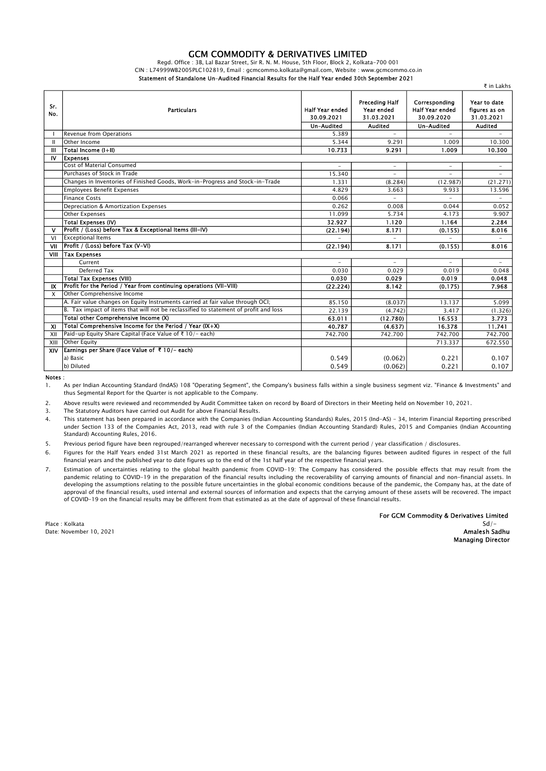## GCM COMMODITY & DERIVATIVES LIMITED

Regd. Office : 3B, Lal Bazar Street, Sir R. N. M. House, 5th Floor, Block 2, Kolkata-700 001

CIN : L74999WB2005PLC102819, Email : gcmcommo.kolkata@gmail.com, Website : www.gcmcommo.co.in

Statement of Standalone Un-Audited Financial Results for the Half Year ended 30th September 2021

|              |                                                                                      |                                                    |                                                              |                                                                     | ₹ in Lakhs                                                    |
|--------------|--------------------------------------------------------------------------------------|----------------------------------------------------|--------------------------------------------------------------|---------------------------------------------------------------------|---------------------------------------------------------------|
| Sr.<br>No.   | <b>Particulars</b>                                                                   | <b>Half Year ended</b><br>30.09.2021<br>Un-Audited | Preceding Half<br>Year ended<br>31.03.2021<br><b>Audited</b> | Corresponding<br><b>Half Year ended</b><br>30.09.2020<br>Un-Audited | Year to date<br>figures as on<br>31.03.2021<br><b>Audited</b> |
|              | Revenue from Operations                                                              | 5.389                                              |                                                              |                                                                     |                                                               |
| $\mathbf{H}$ | Other Income                                                                         | 5.344                                              | 9.291                                                        | 1.009                                                               | 10.300                                                        |
| Ш            | Total Income (I+II)                                                                  | 10.733                                             | 9.291                                                        | 1.009                                                               | 10.300                                                        |
| IV           | <b>Expenses</b>                                                                      |                                                    |                                                              |                                                                     |                                                               |
|              | <b>Cost of Material Consumed</b>                                                     | $\overline{\phantom{0}}$                           | $\overline{\phantom{a}}$                                     | $\overline{\phantom{0}}$                                            | $\overline{\phantom{a}}$                                      |
|              | Purchases of Stock in Trade                                                          | 15.340                                             |                                                              |                                                                     | $\overline{\phantom{a}}$                                      |
|              | Changes in Inventories of Finished Goods, Work-in-Progress and Stock-in-Trade        | 1.331                                              | (8.284)                                                      | (12.987)                                                            | (21.271)                                                      |
|              | <b>Employees Benefit Expenses</b>                                                    | 4.829                                              | 3.663                                                        | 9.933                                                               | 13.596                                                        |
|              | <b>Finance Costs</b>                                                                 | 0.066                                              |                                                              | $\overline{\phantom{0}}$                                            |                                                               |
|              | Depreciation & Amortization Expenses                                                 | 0.262                                              | 0.008                                                        | 0.044                                                               | 0.052                                                         |
|              | <b>Other Expenses</b>                                                                | 11.099                                             | 5.734                                                        | 4.173                                                               | 9.907                                                         |
|              | Total Expenses (IV)                                                                  | 32.927                                             | 1.120                                                        | 1.164                                                               | 2.284                                                         |
| $\mathbf v$  | Profit / (Loss) before Tax & Exceptional Items (III-IV)                              | (22.194)                                           | 8.171                                                        | (0.155)                                                             | 8.016                                                         |
| VI           | <b>Exceptional Items</b>                                                             |                                                    | $\equiv$                                                     |                                                                     |                                                               |
| VII          | Profit / (Loss) before Tax (V-VI)                                                    | (22.194)                                           | 8.171                                                        | (0.155)                                                             | 8.016                                                         |
| VIII         | <b>Tax Expenses</b>                                                                  |                                                    |                                                              |                                                                     |                                                               |
|              | Current                                                                              |                                                    | $\equiv$                                                     |                                                                     |                                                               |
|              | Deferred Tax                                                                         | 0.030                                              | 0.029                                                        | 0.019                                                               | 0.048                                                         |
|              | <b>Total Tax Expenses (VIII)</b>                                                     | 0.030                                              | 0.029                                                        | 0.019                                                               | 0.048                                                         |
| IX           | Profit for the Period / Year from continuing operations (VII-VIII)                   | (22.224)                                           | 8.142                                                        | (0.175)                                                             | 7.968                                                         |
| X            | Other Comprehensive Income                                                           |                                                    |                                                              |                                                                     |                                                               |
|              | A. Fair value changes on Equity Instruments carried at fair value through OCI;       | 85.150                                             | (8.037)                                                      | 13.137                                                              | 5.099                                                         |
|              | B. Tax impact of items that will not be reclassified to statement of profit and loss | 22.139                                             | (4.742)                                                      | 3.417                                                               | (1.326)                                                       |
|              | Total other Comprehensive Income (X)                                                 | 63.011                                             | (12.780)                                                     | 16.553                                                              | 3.773                                                         |
| <b>XI</b>    | Total Comprehensive Income for the Period / Year (IX+X)                              | 40.787                                             | (4.637)                                                      | 16.378                                                              | 11.741                                                        |
| XII          | Paid-up Equity Share Capital (Face Value of ₹ 10/- each)                             | 742.700                                            | 742.700                                                      | 742.700                                                             | 742.700                                                       |
| XIII         | <b>Other Equity</b>                                                                  |                                                    |                                                              | 713.337                                                             | 672.550                                                       |
| XIV          | Earnings per Share (Face Value of ₹10/- each)                                        |                                                    |                                                              |                                                                     |                                                               |
|              | a) Basic                                                                             | 0.549                                              | (0.062)                                                      | 0.221                                                               | 0.107                                                         |
|              | b) Diluted                                                                           | 0.549                                              | (0.062)                                                      | 0.221                                                               | 0.107                                                         |

Notes :

1. As per Indian Accounting Standard (lndAS) 108 "Operating Segment", the Company's business falls within a single business segment viz. "Finance & Investments" and thus Segmental Report for the Quarter is not applicable to the Company.

2. Above results were reviewed and recommended by Audit Committee taken on record by Board of Directors in their Meeting held on November 10, 2021.

3. The Statutory Auditors have carried out Audit for above Financial Results.

4. This statement has been prepared in accordance with the Companies (Indian Accounting Standards) Rules, 2015 (Ind-AS) - 34, Interim Financial Reporting prescribed under Section 133 of the Companies Act, 2013, read with rule 3 of the Companies (Indian Accounting Standard) Rules, 2015 and Companies (Indian Accounting Standard) Accounting Rules, 2016.

5. Previous period figure have been regrouped/rearranged wherever necessary to correspond with the current period / year classification / disclosures.

6. Figures for the Half Years ended 31st March 2021 as reported in these financial results, are the balancing figures between audited figures in respect of the full financial years and the published year to date figures up to the end of the 1st half year of the respective financial years.

7. Estimation of uncertainties relating to the global health pandemic from COVID-19: The Company has considered the possible effects that may result from the pandemic relating to COVID-19 in the preparation of the financial results including the recoverability of carrying amounts of financial and non-financial assets. In developing the assumptions relating to the possible future uncertainties in the global economic conditions because of the pandemic, the Company has, at the date of approval of the financial results, used internal and external sources of information and expects that the carrying amount of these assets will be recovered. The impact of COVID-19 on the financial results may be different from that estimated as at the date of approval of these financial results.

For GCM Commodity & Derivatives Limited Place : Kolkata Sd/-

Managing Director

Date: November 10, 2021 **Amalesh Sadhu** and the state of the state of the state of the state of the state of the state of the state of the state of the state of the state of the state of the state of the state of the state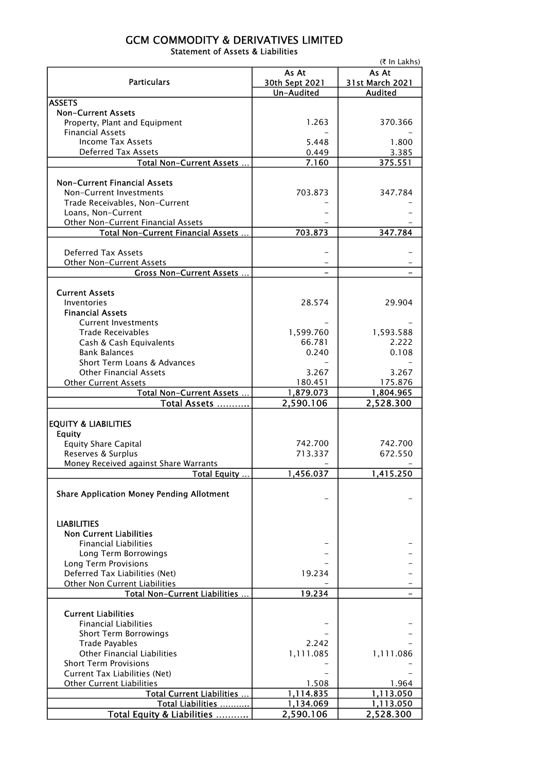## GCM COMMODITY & DERIVATIVES LIMITED Statement of Assets & Liabilities

|                                                  | (₹ In Lakhs)        |                    |  |  |  |
|--------------------------------------------------|---------------------|--------------------|--|--|--|
|                                                  | As At               | As At              |  |  |  |
| <b>Particulars</b>                               | 30th Sept 2021      | 31st March 2021    |  |  |  |
| <b>ASSETS</b>                                    | Un-Audited          | <b>Audited</b>     |  |  |  |
| <b>Non-Current Assets</b>                        |                     |                    |  |  |  |
| Property, Plant and Equipment                    | 1.263               | 370.366            |  |  |  |
| <b>Financial Assets</b>                          |                     |                    |  |  |  |
| <b>Income Tax Assets</b>                         | 5.448               | 1.800              |  |  |  |
| <b>Deferred Tax Assets</b>                       | 0.449               | 3.385              |  |  |  |
| Total Non-Current Assets                         | 7.160               | 375.551            |  |  |  |
|                                                  |                     |                    |  |  |  |
| <b>Non-Current Financial Assets</b>              |                     |                    |  |  |  |
| Non-Current Investments                          | 703.873             | 347.784            |  |  |  |
| Trade Receivables, Non-Current                   |                     |                    |  |  |  |
| Loans, Non-Current                               |                     |                    |  |  |  |
| Other Non-Current Financial Assets               |                     |                    |  |  |  |
| Total Non-Current Financial Assets               | 703.873             | 347.784            |  |  |  |
|                                                  |                     |                    |  |  |  |
| <b>Deferred Tax Assets</b>                       |                     |                    |  |  |  |
| Other Non-Current Assets                         |                     |                    |  |  |  |
| <b>Gross Non-Current Assets </b>                 |                     |                    |  |  |  |
|                                                  |                     |                    |  |  |  |
| <b>Current Assets</b>                            |                     |                    |  |  |  |
| Inventories                                      | 28.574              | 29.904             |  |  |  |
| <b>Financial Assets</b>                          |                     |                    |  |  |  |
| <b>Current Investments</b>                       |                     |                    |  |  |  |
| <b>Trade Receivables</b>                         | 1,599.760<br>66.781 | 1,593.588<br>2.222 |  |  |  |
| Cash & Cash Equivalents<br><b>Bank Balances</b>  | 0.240               | 0.108              |  |  |  |
| Short Term Loans & Advances                      |                     |                    |  |  |  |
| <b>Other Financial Assets</b>                    | 3.267               | 3.267              |  |  |  |
| <b>Other Current Assets</b>                      | 180.451             | 175.876            |  |  |  |
| Total Non-Current Assets                         | 1,879.073           | 1,804.965          |  |  |  |
| Total Assets                                     | 2,590.106           | 2,528.300          |  |  |  |
|                                                  |                     |                    |  |  |  |
| <b>EQUITY &amp; LIABILITIES</b>                  |                     |                    |  |  |  |
| <b>Equity</b>                                    |                     |                    |  |  |  |
| <b>Equity Share Capital</b>                      | 742.700             | 742.700            |  |  |  |
| Reserves & Surplus                               | 713.337             | 672.550            |  |  |  |
| Money Received against Share Warrants            |                     |                    |  |  |  |
| Total Equity                                     | 1,456.037           | 1,415.250          |  |  |  |
|                                                  |                     |                    |  |  |  |
| <b>Share Application Money Pending Allotment</b> |                     |                    |  |  |  |
|                                                  |                     |                    |  |  |  |
|                                                  |                     |                    |  |  |  |
| <b>LIABILITIES</b>                               |                     |                    |  |  |  |
| <b>Non Current Liabilities</b>                   |                     |                    |  |  |  |
| <b>Financial Liabilities</b>                     |                     |                    |  |  |  |
| Long Term Borrowings                             |                     |                    |  |  |  |
| Long Term Provisions                             |                     |                    |  |  |  |
| Deferred Tax Liabilities (Net)                   | 19.234              |                    |  |  |  |
| Other Non Current Liabilities                    |                     |                    |  |  |  |
| Total Non-Current Liabilities                    | 19.234              |                    |  |  |  |
| <b>Current Liabilities</b>                       |                     |                    |  |  |  |
| <b>Financial Liabilities</b>                     |                     |                    |  |  |  |
| <b>Short Term Borrowings</b>                     |                     |                    |  |  |  |
| <b>Trade Payables</b>                            | 2.242               |                    |  |  |  |
| <b>Other Financial Liabilities</b>               | 1,111.085           | 1,111.086          |  |  |  |
| <b>Short Term Provisions</b>                     |                     |                    |  |  |  |
| Current Tax Liabilities (Net)                    |                     |                    |  |  |  |
| <b>Other Current Liabilities</b>                 | 1.508               | 1.964              |  |  |  |
| Total Current Liabilities                        | 1,114.835           | 1,113.050          |  |  |  |
| Total Liabilities                                | 1,134.069           | 1,113.050          |  |  |  |
| Total Equity & Liabilities                       | 2,590.106           | 2,528.300          |  |  |  |